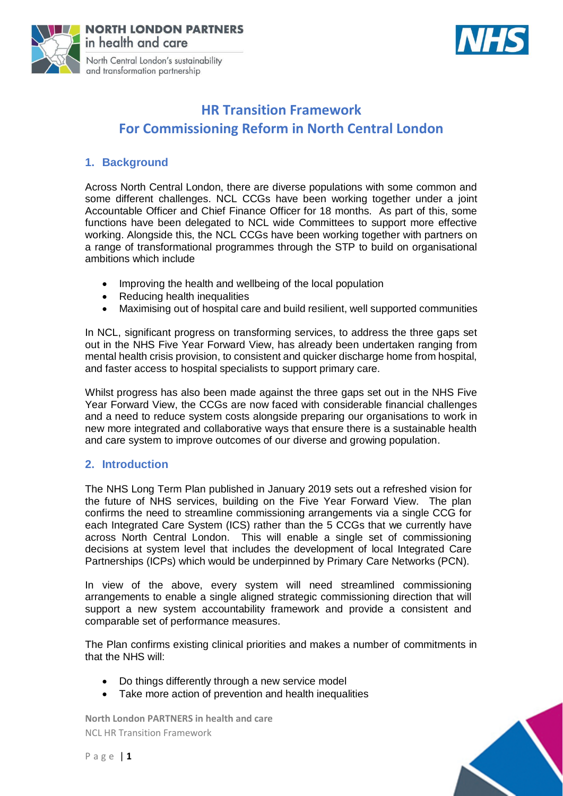



# **HR Transition Framework For Commissioning Reform in North Central London**

# **1. Background**

Across North Central London, there are diverse populations with some common and some different challenges. NCL CCGs have been working together under a joint Accountable Officer and Chief Finance Officer for 18 months. As part of this, some functions have been delegated to NCL wide Committees to support more effective working. Alongside this, the NCL CCGs have been working together with partners on a range of transformational programmes through the STP to build on organisational ambitions which include

- Improving the health and wellbeing of the local population
- Reducing health inequalities
- Maximising out of hospital care and build resilient, well supported communities

In NCL, significant progress on transforming services, to address the three gaps set out in the NHS Five Year Forward View, has already been undertaken ranging from mental health crisis provision, to consistent and quicker discharge home from hospital, and faster access to hospital specialists to support primary care.

Whilst progress has also been made against the three gaps set out in the NHS Five Year Forward View, the CCGs are now faced with considerable financial challenges and a need to reduce system costs alongside preparing our organisations to work in new more integrated and collaborative ways that ensure there is a sustainable health and care system to improve outcomes of our diverse and growing population.

# **2. Introduction**

The NHS Long Term Plan published in January 2019 sets out a refreshed vision for the future of NHS services, building on the Five Year Forward View. The plan confirms the need to streamline commissioning arrangements via a single CCG for each Integrated Care System (ICS) rather than the 5 CCGs that we currently have across North Central London. This will enable a single set of commissioning decisions at system level that includes the development of local Integrated Care Partnerships (ICPs) which would be underpinned by Primary Care Networks (PCN).

In view of the above, every system will need streamlined commissioning arrangements to enable a single aligned strategic commissioning direction that will support a new system accountability framework and provide a consistent and comparable set of performance measures.

The Plan confirms existing clinical priorities and makes a number of commitments in that the NHS will:

- Do things differently through a new service model
- Take more action of prevention and health inequalities

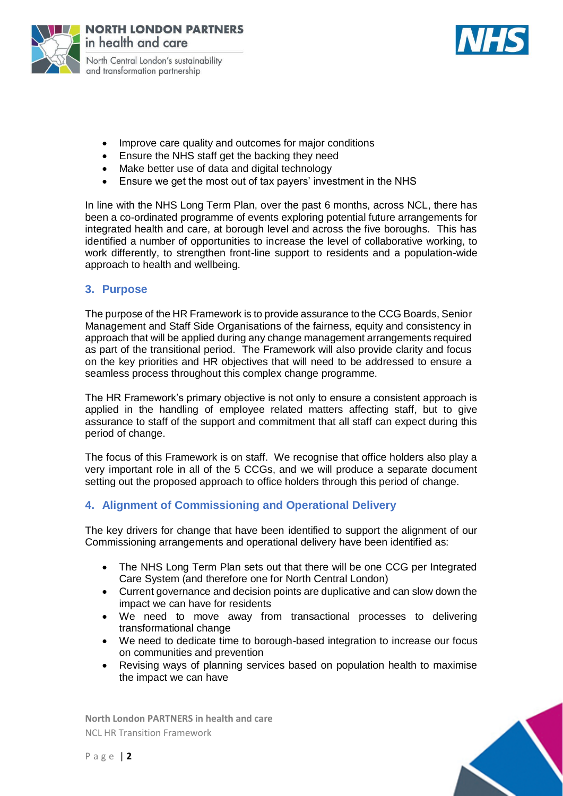



- Improve care quality and outcomes for major conditions
- Ensure the NHS staff get the backing they need
- Make better use of data and digital technology
- Ensure we get the most out of tax payers' investment in the NHS

In line with the NHS Long Term Plan, over the past 6 months, across NCL, there has been a co-ordinated programme of events exploring potential future arrangements for integrated health and care, at borough level and across the five boroughs. This has identified a number of opportunities to increase the level of collaborative working, to work differently, to strengthen front-line support to residents and a population-wide approach to health and wellbeing.

### **3. Purpose**

The purpose of the HR Framework is to provide assurance to the CCG Boards, Senior Management and Staff Side Organisations of the fairness, equity and consistency in approach that will be applied during any change management arrangements required as part of the transitional period. The Framework will also provide clarity and focus on the key priorities and HR objectives that will need to be addressed to ensure a seamless process throughout this complex change programme.

The HR Framework's primary objective is not only to ensure a consistent approach is applied in the handling of employee related matters affecting staff, but to give assurance to staff of the support and commitment that all staff can expect during this period of change.

The focus of this Framework is on staff. We recognise that office holders also play a very important role in all of the 5 CCGs, and we will produce a separate document setting out the proposed approach to office holders through this period of change.

# **4. Alignment of Commissioning and Operational Delivery**

The key drivers for change that have been identified to support the alignment of our Commissioning arrangements and operational delivery have been identified as:

- The NHS Long Term Plan sets out that there will be one CCG per Integrated Care System (and therefore one for North Central London)
- Current governance and decision points are duplicative and can slow down the impact we can have for residents
- We need to move away from transactional processes to delivering transformational change
- We need to dedicate time to borough-based integration to increase our focus on communities and prevention
- Revising ways of planning services based on population health to maximise the impact we can have

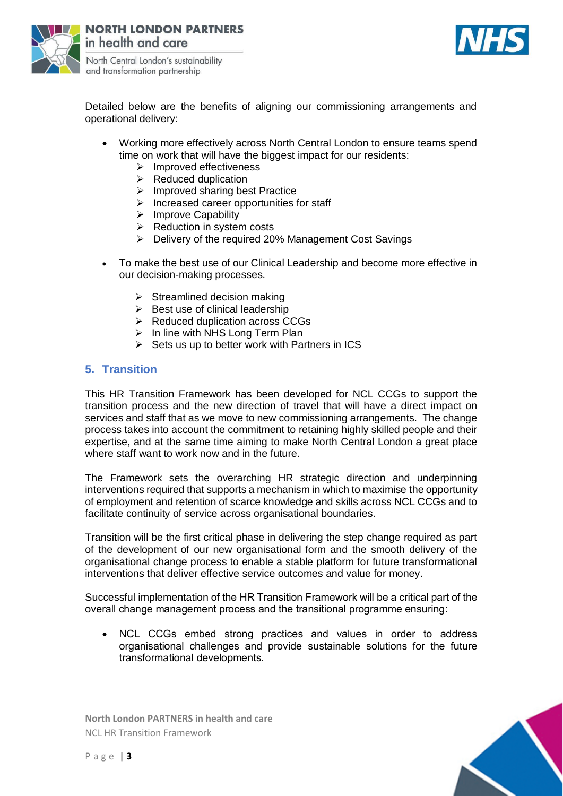



Detailed below are the benefits of aligning our commissioning arrangements and operational delivery:

- Working more effectively across North Central London to ensure teams spend time on work that will have the biggest impact for our residents:
	- $\triangleright$  Improved effectiveness
	- $\triangleright$  Reduced duplication
	- $\triangleright$  Improved sharing best Practice
	- $\triangleright$  Increased career opportunities for staff
	- $\triangleright$  Improve Capability
	- $\triangleright$  Reduction in system costs
	- Delivery of the required 20% Management Cost Savings
- To make the best use of our Clinical Leadership and become more effective in our decision-making processes.
	- $\triangleright$  Streamlined decision making
	- $\triangleright$  Best use of clinical leadership
	- $\triangleright$  Reduced duplication across CCGs
	- $\triangleright$  In line with NHS Long Term Plan
	- $\triangleright$  Sets us up to better work with Partners in ICS

### **5. Transition**

This HR Transition Framework has been developed for NCL CCGs to support the transition process and the new direction of travel that will have a direct impact on services and staff that as we move to new commissioning arrangements. The change process takes into account the commitment to retaining highly skilled people and their expertise, and at the same time aiming to make North Central London a great place where staff want to work now and in the future.

The Framework sets the overarching HR strategic direction and underpinning interventions required that supports a mechanism in which to maximise the opportunity of employment and retention of scarce knowledge and skills across NCL CCGs and to facilitate continuity of service across organisational boundaries.

Transition will be the first critical phase in delivering the step change required as part of the development of our new organisational form and the smooth delivery of the organisational change process to enable a stable platform for future transformational interventions that deliver effective service outcomes and value for money.

Successful implementation of the HR Transition Framework will be a critical part of the overall change management process and the transitional programme ensuring:

 NCL CCGs embed strong practices and values in order to address organisational challenges and provide sustainable solutions for the future transformational developments.

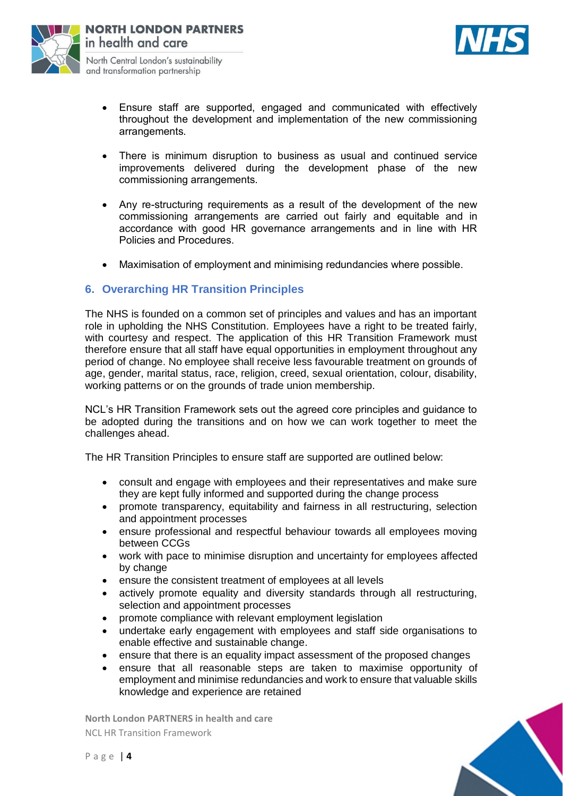



- Ensure staff are supported, engaged and communicated with effectively throughout the development and implementation of the new commissioning arrangements.
- There is minimum disruption to business as usual and continued service improvements delivered during the development phase of the new commissioning arrangements.
- Any re-structuring requirements as a result of the development of the new commissioning arrangements are carried out fairly and equitable and in accordance with good HR governance arrangements and in line with HR Policies and Procedures.
- Maximisation of employment and minimising redundancies where possible.

# **6. Overarching HR Transition Principles**

The NHS is founded on a common set of principles and values and has an important role in upholding the NHS Constitution. Employees have a right to be treated fairly, with courtesy and respect. The application of this HR Transition Framework must therefore ensure that all staff have equal opportunities in employment throughout any period of change. No employee shall receive less favourable treatment on grounds of age, gender, marital status, race, religion, creed, sexual orientation, colour, disability, working patterns or on the grounds of trade union membership.

NCL's HR Transition Framework sets out the agreed core principles and guidance to be adopted during the transitions and on how we can work together to meet the challenges ahead.

The HR Transition Principles to ensure staff are supported are outlined below:

- consult and engage with employees and their representatives and make sure they are kept fully informed and supported during the change process
- promote transparency, equitability and fairness in all restructuring, selection and appointment processes
- ensure professional and respectful behaviour towards all employees moving between CCGs
- work with pace to minimise disruption and uncertainty for employees affected by change
- ensure the consistent treatment of employees at all levels
- actively promote equality and diversity standards through all restructuring, selection and appointment processes
- promote compliance with relevant employment legislation
- undertake early engagement with employees and staff side organisations to enable effective and sustainable change.
- ensure that there is an equality impact assessment of the proposed changes
- ensure that all reasonable steps are taken to maximise opportunity of employment and minimise redundancies and work to ensure that valuable skills knowledge and experience are retained

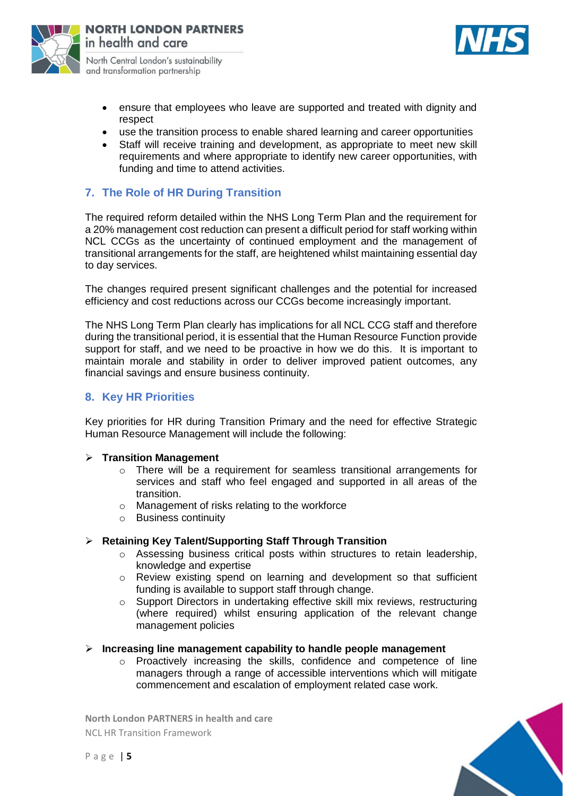



- ensure that employees who leave are supported and treated with dignity and respect
- use the transition process to enable shared learning and career opportunities
- Staff will receive training and development, as appropriate to meet new skill requirements and where appropriate to identify new career opportunities, with funding and time to attend activities.

# **7. The Role of HR During Transition**

The required reform detailed within the NHS Long Term Plan and the requirement for a 20% management cost reduction can present a difficult period for staff working within NCL CCGs as the uncertainty of continued employment and the management of transitional arrangements for the staff, are heightened whilst maintaining essential day to day services.

The changes required present significant challenges and the potential for increased efficiency and cost reductions across our CCGs become increasingly important.

The NHS Long Term Plan clearly has implications for all NCL CCG staff and therefore during the transitional period, it is essential that the Human Resource Function provide support for staff, and we need to be proactive in how we do this. It is important to maintain morale and stability in order to deliver improved patient outcomes, any financial savings and ensure business continuity.

### **8. Key HR Priorities**

Key priorities for HR during Transition Primary and the need for effective Strategic Human Resource Management will include the following:

#### **Transition Management**

- o There will be a requirement for seamless transitional arrangements for services and staff who feel engaged and supported in all areas of the transition.
- o Management of risks relating to the workforce
- o Business continuity

### **Retaining Key Talent/Supporting Staff Through Transition**

- o Assessing business critical posts within structures to retain leadership, knowledge and expertise
- $\circ$  Review existing spend on learning and development so that sufficient funding is available to support staff through change.
- Support Directors in undertaking effective skill mix reviews, restructuring (where required) whilst ensuring application of the relevant change management policies

#### **Increasing line management capability to handle people management**

o Proactively increasing the skills, confidence and competence of line managers through a range of accessible interventions which will mitigate commencement and escalation of employment related case work.

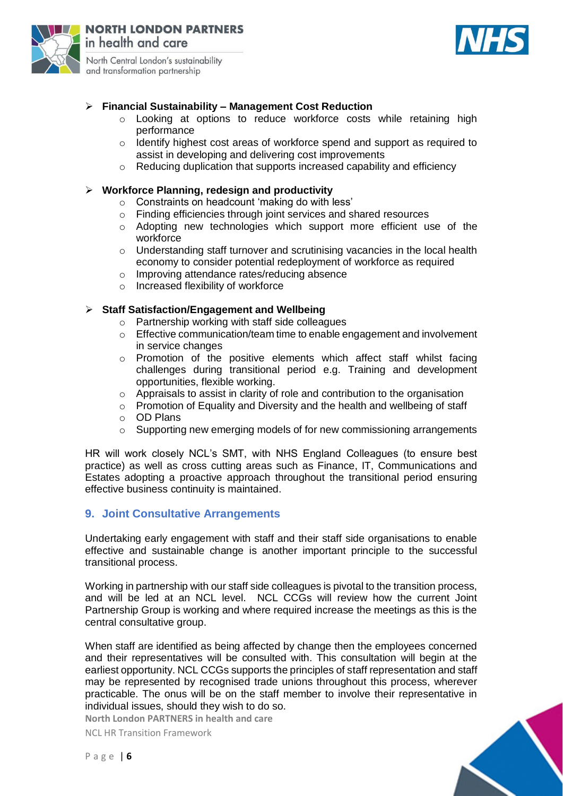

# **Financial Sustainability – Management Cost Reduction**

- o Looking at options to reduce workforce costs while retaining high performance
- $\circ$  Identify highest cost areas of workforce spend and support as required to assist in developing and delivering cost improvements
- Reducing duplication that supports increased capability and efficiency

### **Workforce Planning, redesign and productivity**

- o Constraints on headcount 'making do with less'
- o Finding efficiencies through joint services and shared resources
- o Adopting new technologies which support more efficient use of the workforce
- o Understanding staff turnover and scrutinising vacancies in the local health economy to consider potential redeployment of workforce as required
- o Improving attendance rates/reducing absence
- o Increased flexibility of workforce

### **Staff Satisfaction/Engagement and Wellbeing**

- o Partnership working with staff side colleagues
- $\circ$  Effective communication/team time to enable engagement and involvement in service changes
- o Promotion of the positive elements which affect staff whilst facing challenges during transitional period e.g. Training and development opportunities, flexible working.
- o Appraisals to assist in clarity of role and contribution to the organisation
- o Promotion of Equality and Diversity and the health and wellbeing of staff
- o OD Plans
- o Supporting new emerging models of for new commissioning arrangements

HR will work closely NCL's SMT, with NHS England Colleagues (to ensure best practice) as well as cross cutting areas such as Finance, IT, Communications and Estates adopting a proactive approach throughout the transitional period ensuring effective business continuity is maintained.

### **9. Joint Consultative Arrangements**

Undertaking early engagement with staff and their staff side organisations to enable effective and sustainable change is another important principle to the successful transitional process.

Working in partnership with our staff side colleagues is pivotal to the transition process, and will be led at an NCL level. NCL CCGs will review how the current Joint Partnership Group is working and where required increase the meetings as this is the central consultative group.

When staff are identified as being affected by change then the employees concerned and their representatives will be consulted with. This consultation will begin at the earliest opportunity. NCL CCGs supports the principles of staff representation and staff may be represented by recognised trade unions throughout this process, wherever practicable. The onus will be on the staff member to involve their representative in individual issues, should they wish to do so.

**North London PARTNERS in health and care**

NCL HR Transition Framework

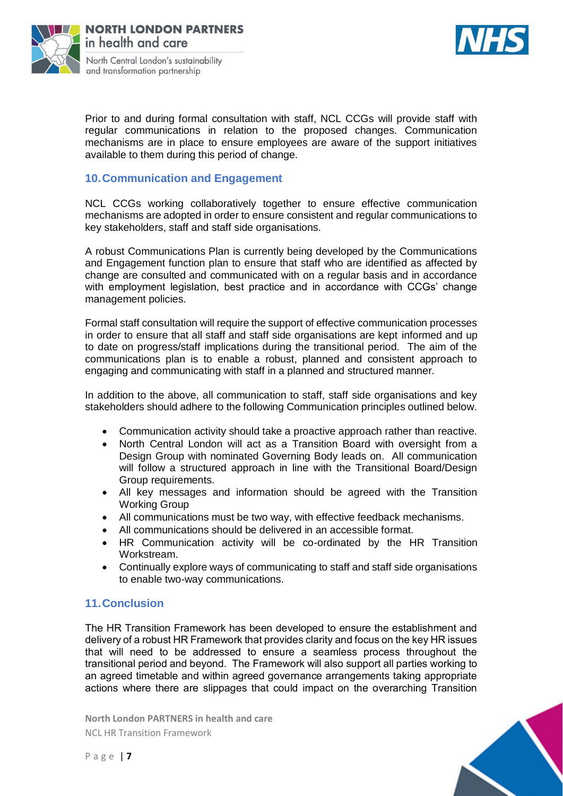



Prior to and during formal consultation with staff, NCL CCGs will provide staff with regular communications in relation to the proposed changes. Communication mechanisms are in place to ensure employees are aware of the support initiatives available to them during this period of change.

# **10.Communication and Engagement**

NCL CCGs working collaboratively together to ensure effective communication mechanisms are adopted in order to ensure consistent and regular communications to key stakeholders, staff and staff side organisations.

A robust Communications Plan is currently being developed by the Communications and Engagement function plan to ensure that staff who are identified as affected by change are consulted and communicated with on a regular basis and in accordance with employment legislation, best practice and in accordance with CCGs' change management policies.

Formal staff consultation will require the support of effective communication processes in order to ensure that all staff and staff side organisations are kept informed and up to date on progress/staff implications during the transitional period. The aim of the communications plan is to enable a robust, planned and consistent approach to engaging and communicating with staff in a planned and structured manner.

In addition to the above, all communication to staff, staff side organisations and key stakeholders should adhere to the following Communication principles outlined below.

- Communication activity should take a proactive approach rather than reactive.
- North Central London will act as a Transition Board with oversight from a Design Group with nominated Governing Body leads on. All communication will follow a structured approach in line with the Transitional Board/Design Group requirements.
- All key messages and information should be agreed with the Transition Working Group
- All communications must be two way, with effective feedback mechanisms.
- All communications should be delivered in an accessible format.
- HR Communication activity will be co-ordinated by the HR Transition Workstream.
- Continually explore ways of communicating to staff and staff side organisations to enable two-way communications.

## **11.Conclusion**

The HR Transition Framework has been developed to ensure the establishment and delivery of a robust HR Framework that provides clarity and focus on the key HR issues that will need to be addressed to ensure a seamless process throughout the transitional period and beyond. The Framework will also support all parties working to an agreed timetable and within agreed governance arrangements taking appropriate actions where there are slippages that could impact on the overarching Transition